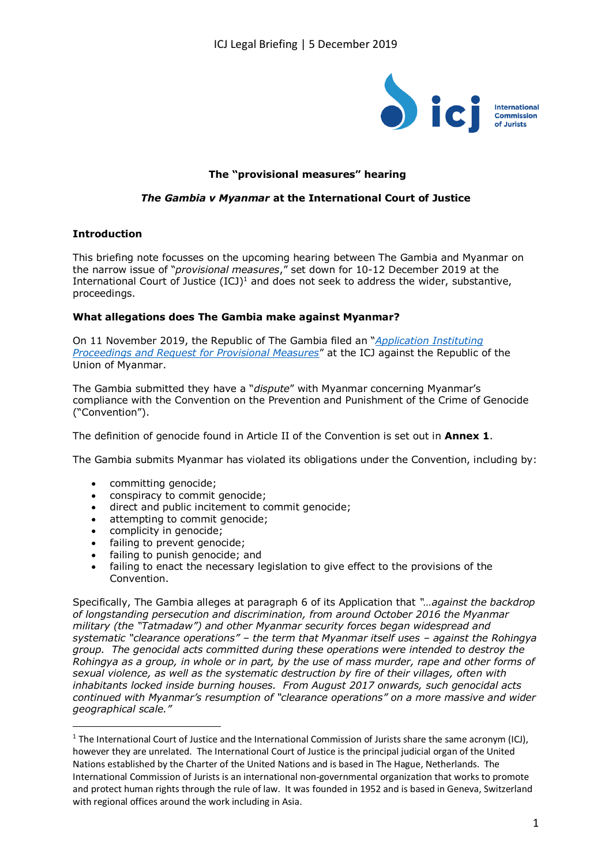

# **The "provisional measures" hearing**

## *The Gambia v Myanmar* **at the International Court of Justice**

### **Introduction**

This briefing note focusses on the upcoming hearing between The Gambia and Myanmar on the narrow issue of "*provisional measures*," set down for 10-12 December 2019 at the International Court of Justice  $(ICJ)^1$  and does not seek to address the wider, substantive, proceedings.

### **What allegations does The Gambia make against Myanmar?**

On 11 November 2019, the Republic of The Gambia filed an "*[Application Instituting](https://www.icj-cij.org/files/case-related/178/178-20191111-APP-01-00-EN.pdf)  [Proceedings and Request for Provisional Measures](https://www.icj-cij.org/files/case-related/178/178-20191111-APP-01-00-EN.pdf)*" at the ICJ against the Republic of the Union of Myanmar.

The Gambia submitted they have a "*dispute*" with Myanmar concerning Myanmar's compliance with the Convention on the Prevention and Punishment of the Crime of Genocide ("Convention").

The definition of genocide found in Article II of the Convention is set out in **Annex 1**.

The Gambia submits Myanmar has violated its obligations under the Convention, including by:

- committing genocide;
- conspiracy to commit genocide;
- direct and public incitement to commit genocide;
- attempting to commit genocide;
- complicity in genocide:
- failing to prevent genocide;
- failing to punish genocide; and
- failing to enact the necessary legislation to give effect to the provisions of the Convention.

Specifically, The Gambia alleges at paragraph 6 of its Application that *"…against the backdrop of longstanding persecution and discrimination, from around October 2016 the Myanmar military (the "Tatmadaw") and other Myanmar security forces began widespread and systematic "clearance operations" – the term that Myanmar itself uses – against the Rohingya group. The genocidal acts committed during these operations were intended to destroy the Rohingya as a group, in whole or in part, by the use of mass murder, rape and other forms of sexual violence, as well as the systematic destruction by fire of their villages, often with inhabitants locked inside burning houses. From August 2017 onwards, such genocidal acts continued with Myanmar's resumption of "clearance operations" on a more massive and wider geographical scale."*

<sup>&</sup>lt;sup>1</sup> The International Court of Justice and the International Commission of Jurists share the same acronym (ICJ), however they are unrelated. The International Court of Justice is the principal judicial organ of the United Nations established by the Charter of the United Nations and is based in The Hague, Netherlands. The International Commission of Jurists is an international non-governmental organization that works to promote and protect human rights through the rule of law. It was founded in 1952 and is based in Geneva, Switzerland with regional offices around the work including in Asia.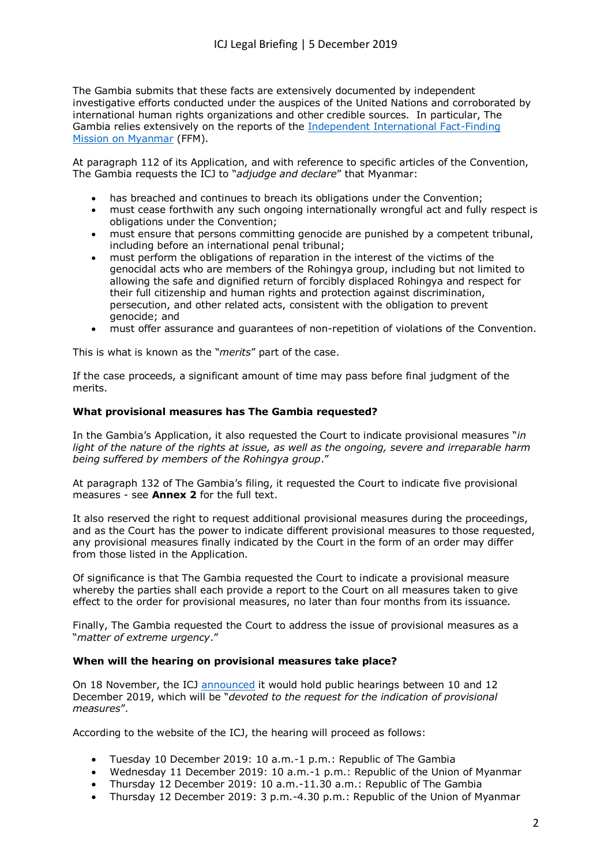The Gambia submits that these facts are extensively documented by independent investigative efforts conducted under the auspices of the United Nations and corroborated by international human rights organizations and other credible sources. In particular, The Gambia relies extensively on the reports of the [Independent International Fact-Finding](https://www.ohchr.org/en/hrbodies/hrc/myanmarffm/pages/index.aspx)  [Mission on Myanmar](https://www.ohchr.org/en/hrbodies/hrc/myanmarffm/pages/index.aspx) (FFM).

At paragraph 112 of its Application, and with reference to specific articles of the Convention, The Gambia requests the ICJ to "*adjudge and declare*" that Myanmar:

- has breached and continues to breach its obligations under the Convention;
- must cease forthwith any such ongoing internationally wrongful act and fully respect is obligations under the Convention;
- must ensure that persons committing genocide are punished by a competent tribunal, including before an international penal tribunal;
- must perform the obligations of reparation in the interest of the victims of the genocidal acts who are members of the Rohingya group, including but not limited to allowing the safe and dignified return of forcibly displaced Rohingya and respect for their full citizenship and human rights and protection against discrimination, persecution, and other related acts, consistent with the obligation to prevent genocide; and
- must offer assurance and guarantees of non-repetition of violations of the Convention.

This is what is known as the "*merits*" part of the case.

If the case proceeds, a significant amount of time may pass before final judgment of the merits.

#### **What provisional measures has The Gambia requested?**

In the Gambia's Application, it also requested the Court to indicate provisional measures "*in*  light of the nature of the rights at issue, as well as the ongoing, severe and irreparable harm *being suffered by members of the Rohingya group*."

At paragraph 132 of The Gambia's filing, it requested the Court to indicate five provisional measures - see **Annex 2** for the full text.

It also reserved the right to request additional provisional measures during the proceedings, and as the Court has the power to indicate different provisional measures to those requested, any provisional measures finally indicated by the Court in the form of an order may differ from those listed in the Application.

Of significance is that The Gambia requested the Court to indicate a provisional measure whereby the parties shall each provide a report to the Court on all measures taken to give effect to the order for provisional measures, no later than four months from its issuance.

Finally, The Gambia requested the Court to address the issue of provisional measures as a "*matter of extreme urgency*."

### **When will the hearing on provisional measures take place?**

On 18 November, the ICJ [announced](https://www.icj-cij.org/files/case-related/178/178-20191118-PRE-01-00-EN.pdf) it would hold public hearings between 10 and 12 December 2019, which will be "*devoted to the request for the indication of provisional measures*".

According to the website of the ICJ, the hearing will proceed as follows:

- x Tuesday 10 December 2019: 10 a.m.-1 p.m.: Republic of The Gambia
- Wednesday 11 December 2019: 10 a.m.-1 p.m.: Republic of the Union of Myanmar
- Thursday 12 December 2019: 10 a.m.-11.30 a.m.: Republic of The Gambia
- Thursday 12 December 2019: 3 p.m.-4.30 p.m.: Republic of the Union of Myanmar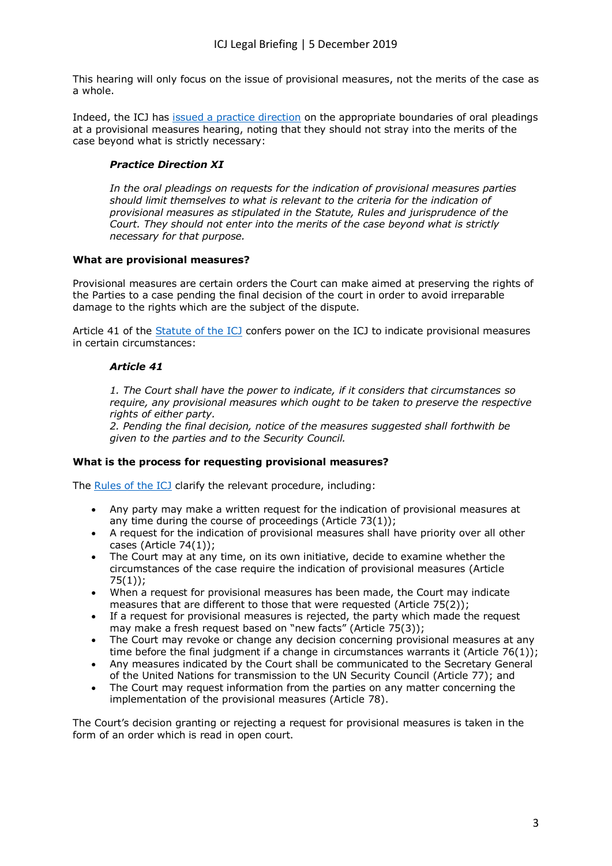This hearing will only focus on the issue of provisional measures, not the merits of the case as a whole.

Indeed, the ICJ has [issued a practice direction](https://www.icj-cij.org/en/practice-directions) on the appropriate boundaries of oral pleadings at a provisional measures hearing, noting that they should not stray into the merits of the case beyond what is strictly necessary:

# *Practice Direction XI*

*In the oral pleadings on requests for the indication of provisional measures parties should limit themselves to what is relevant to the criteria for the indication of provisional measures as stipulated in the Statute, Rules and jurisprudence of the Court. They should not enter into the merits of the case beyond what is strictly necessary for that purpose.*

### **What are provisional measures?**

Provisional measures are certain orders the Court can make aimed at preserving the rights of the Parties to a case pending the final decision of the court in order to avoid irreparable damage to the rights which are the subject of the dispute.

Article 41 of the [Statute of the ICJ](https://www.icj-cij.org/en/statute) confers power on the ICJ to indicate provisional measures in certain circumstances:

# *Article 41*

*1. The Court shall have the power to indicate, if it considers that circumstances so require, any provisional measures which ought to be taken to preserve the respective rights of either party.*

*2. Pending the final decision, notice of the measures suggested shall forthwith be given to the parties and to the Security Council.*

### **What is the process for requesting provisional measures?**

The [Rules of the ICJ](https://www.icj-cij.org/en/rules) clarify the relevant procedure, including:

- Any party may make a written request for the indication of provisional measures at any time during the course of proceedings (Article 73(1));
- A request for the indication of provisional measures shall have priority over all other cases (Article 74(1));
- The Court may at any time, on its own initiative, decide to examine whether the circumstances of the case require the indication of provisional measures (Article 75(1));
- When a request for provisional measures has been made, the Court may indicate measures that are different to those that were requested (Article 75(2));
- If a request for provisional measures is rejected, the party which made the request may make a fresh request based on "new facts" (Article 75(3));
- The Court may revoke or change any decision concerning provisional measures at any time before the final judgment if a change in circumstances warrants it (Article  $76(1)$ );
- x Any measures indicated by the Court shall be communicated to the Secretary General of the United Nations for transmission to the UN Security Council (Article 77); and
- The Court may request information from the parties on any matter concerning the implementation of the provisional measures (Article 78).

The Court's decision granting or rejecting a request for provisional measures is taken in the form of an order which is read in open court.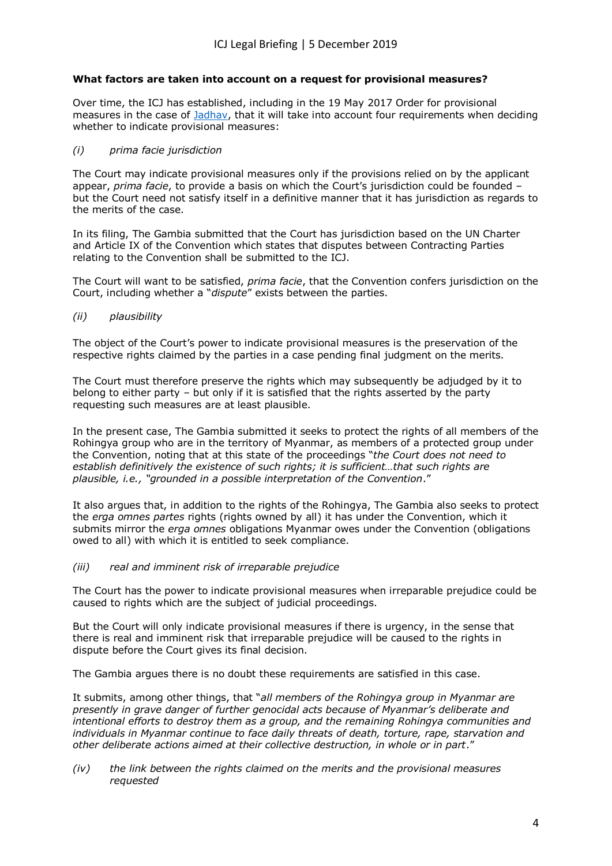# **What factors are taken into account on a request for provisional measures?**

Over time, the ICJ has established, including in the 19 May 2017 Order for provisional measures in the case of [Jadhav,](https://www.icj-cij.org/en/case/168/orders) that it will take into account four requirements when deciding whether to indicate provisional measures:

### *(i) prima facie jurisdiction*

The Court may indicate provisional measures only if the provisions relied on by the applicant appear, *prima facie*, to provide a basis on which the Court's jurisdiction could be founded – but the Court need not satisfy itself in a definitive manner that it has jurisdiction as regards to the merits of the case.

In its filing, The Gambia submitted that the Court has jurisdiction based on the UN Charter and Article IX of the Convention which states that disputes between Contracting Parties relating to the Convention shall be submitted to the ICJ.

The Court will want to be satisfied, *prima facie*, that the Convention confers jurisdiction on the Court, including whether a "*dispute*" exists between the parties.

*(ii) plausibility*

The object of the Court's power to indicate provisional measures is the preservation of the respective rights claimed by the parties in a case pending final judgment on the merits.

The Court must therefore preserve the rights which may subsequently be adjudged by it to belong to either party – but only if it is satisfied that the rights asserted by the party requesting such measures are at least plausible.

In the present case, The Gambia submitted it seeks to protect the rights of all members of the Rohingya group who are in the territory of Myanmar, as members of a protected group under the Convention, noting that at this state of the proceedings "*the Court does not need to establish definitively the existence of such rights; it is sufficient…that such rights are plausible, i.e., "grounded in a possible interpretation of the Convention*."

It also argues that, in addition to the rights of the Rohingya, The Gambia also seeks to protect the *erga omnes partes* rights (rights owned by all) it has under the Convention, which it submits mirror the *erga omnes* obligations Myanmar owes under the Convention (obligations owed to all) with which it is entitled to seek compliance.

*(iii) real and imminent risk of irreparable prejudice*

The Court has the power to indicate provisional measures when irreparable prejudice could be caused to rights which are the subject of judicial proceedings.

But the Court will only indicate provisional measures if there is urgency, in the sense that there is real and imminent risk that irreparable prejudice will be caused to the rights in dispute before the Court gives its final decision.

The Gambia argues there is no doubt these requirements are satisfied in this case.

It submits, among other things, that "*all members of the Rohingya group in Myanmar are presently in grave danger of further genocidal acts because of Myanmar's deliberate and intentional efforts to destroy them as a group, and the remaining Rohingya communities and individuals in Myanmar continue to face daily threats of death, torture, rape, starvation and other deliberate actions aimed at their collective destruction, in whole or in part*."

*(iv) the link between the rights claimed on the merits and the provisional measures requested*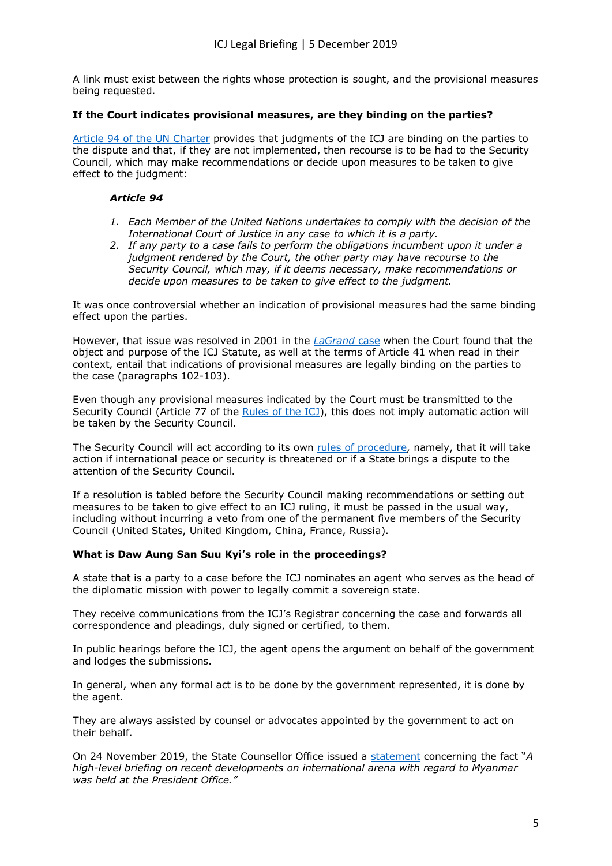A link must exist between the rights whose protection is sought, and the provisional measures being requested.

## **If the Court indicates provisional measures, are they binding on the parties?**

[Article 94 of the UN Charter](https://www.un.org/en/sections/un-charter/chapter-xiv/index.html) provides that judgments of the ICJ are binding on the parties to the dispute and that, if they are not implemented, then recourse is to be had to the Security Council, which may make recommendations or decide upon measures to be taken to give effect to the judgment:

# *Article 94*

- *1. Each Member of the United Nations undertakes to comply with the decision of the International Court of Justice in any case to which it is a party.*
- *2. If any party to a case fails to perform the obligations incumbent upon it under a judgment rendered by the Court, the other party may have recourse to the Security Council, which may, if it deems necessary, make recommendations or decide upon measures to be taken to give effect to the judgment.*

It was once controversial whether an indication of provisional measures had the same binding effect upon the parties.

However, that issue was resolved in 2001 in the *[LaGrand](https://www.icj-cij.org/files/case-related/104/104-20010627-JUD-01-00-EN.pdf)* case when the Court found that the object and purpose of the ICJ Statute, as well at the terms of Article 41 when read in their context, entail that indications of provisional measures are legally binding on the parties to the case (paragraphs 102-103).

Even though any provisional measures indicated by the Court must be transmitted to the Security Council (Article 77 of the [Rules of the ICJ\)](https://www.icj-cij.org/en/rules), this does not imply automatic action will be taken by the Security Council.

The Security Council will act according to its own [rules of procedure,](https://www.un.org/securitycouncil/content/repertoire/procedural-issues) namely, that it will take action if international peace or security is threatened or if a State brings a dispute to the attention of the Security Council.

If a resolution is tabled before the Security Council making recommendations or setting out measures to be taken to give effect to an ICJ ruling, it must be passed in the usual way, including without incurring a veto from one of the permanent five members of the Security Council (United States, United Kingdom, China, France, Russia).

### **What is Daw Aung San Suu Kyi's role in the proceedings?**

A state that is a party to a case before the ICJ nominates an agent who serves as the head of the diplomatic mission with power to legally commit a sovereign state.

They receive communications from the ICJ's Registrar concerning the case and forwards all correspondence and pleadings, duly signed or certified, to them.

In public hearings before the ICJ, the agent opens the argument on behalf of the government and lodges the submissions.

In general, when any formal act is to be done by the government represented, it is done by the agent.

They are always assisted by counsel or advocates appointed by the government to act on their behalf.

On 24 November 2019, the State Counsellor Office issued a [statement](https://www.statecounsellor.gov.mm/en/node/2624) concerning the fact "*A high-level briefing on recent developments on international arena with regard to Myanmar was held at the President Office."*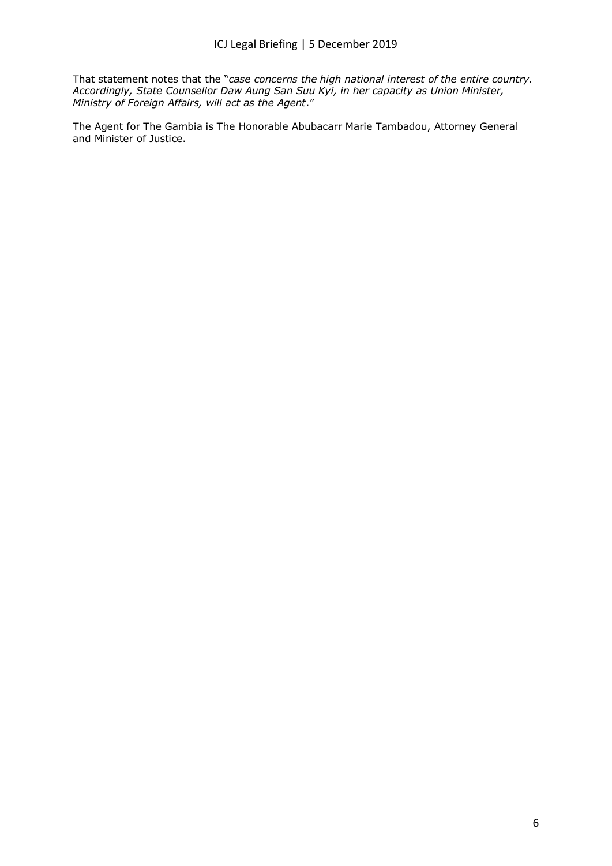That statement notes that the "*case concerns the high national interest of the entire country. Accordingly, State Counsellor Daw Aung San Suu Kyi, in her capacity as Union Minister, Ministry of Foreign Affairs, will act as the Agent*."

The Agent for The Gambia is The Honorable Abubacarr Marie Tambadou, Attorney General and Minister of Justice.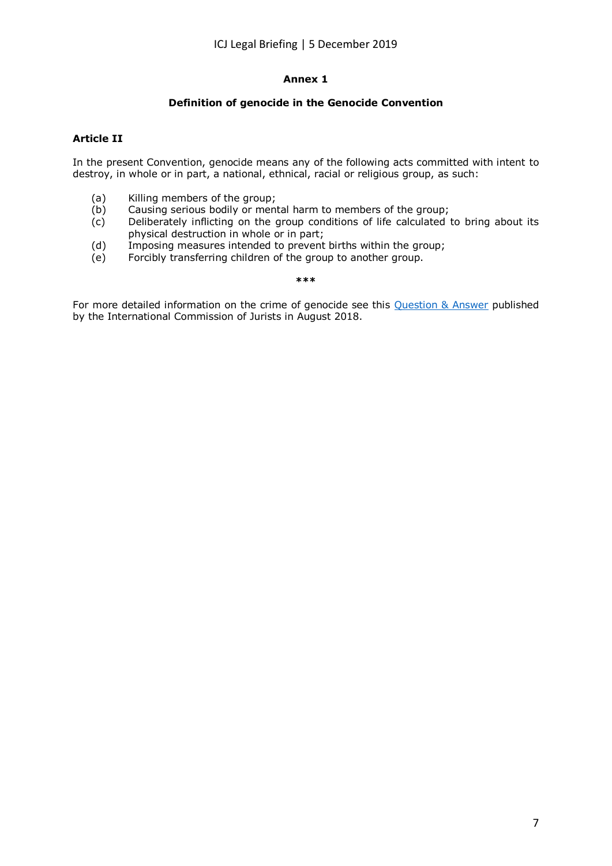# **Annex 1**

# **Definition of genocide in the Genocide Convention**

# **Article II**

In the present Convention, genocide means any of the following acts committed with intent to destroy, in whole or in part, a national, ethnical, racial or religious group, as such:

- (a) Killing members of the group;
- (b) Causing serious bodily or mental harm to members of the group;
- $\overrightarrow{c}$  Deliberately inflicting on the group conditions of life calculated to bring about its physical destruction in whole or in part;
- (d) Imposing measures intended to prevent births within the group;
- (e) Forcibly transferring children of the group to another group.

#### **\*\*\***

For more detailed information on the crime of genocide see this [Question & Answer](https://www.icj.org/icj-releases-legal-q-a-on-crime-of-genocide/) published by the International Commission of Jurists in August 2018.